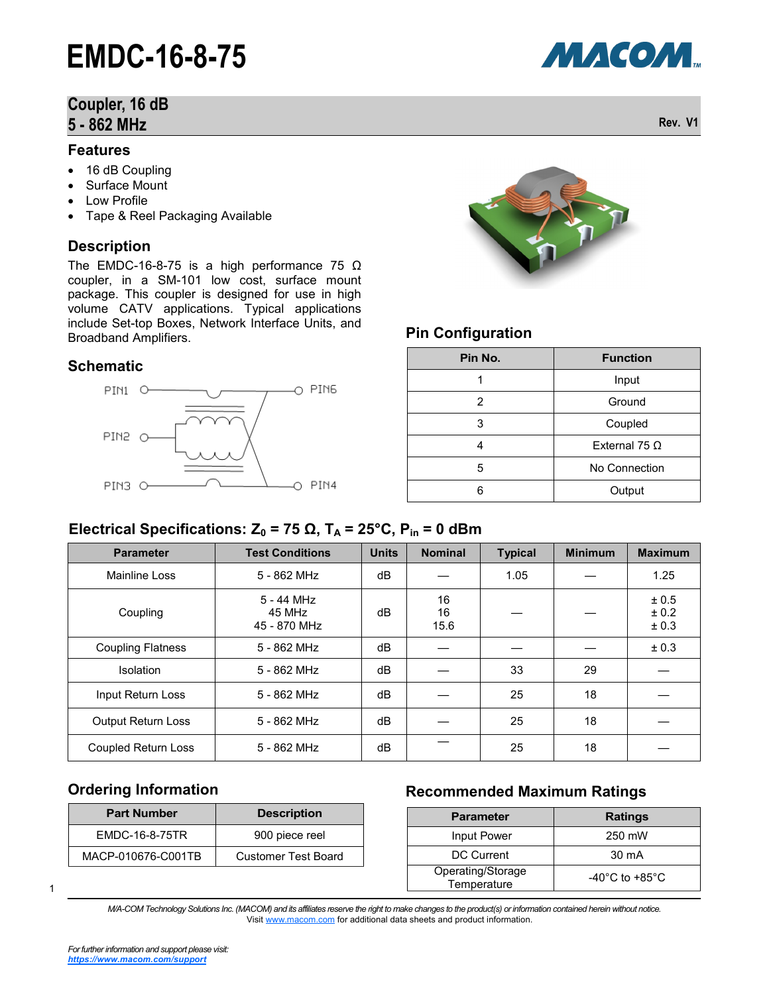#### **Coupler, 16 dB 5 - 862 MHz Rev. V1**

#### **Features**

- 16 dB Coupling
- Surface Mount
- Low Profile
- Tape & Reel Packaging Available

#### **Description**

The EMDC-16-8-75 is a high performance 75  $\Omega$ coupler, in a SM-101 low cost, surface mount package. This coupler is designed for use in high volume CATV applications. Typical applications include Set-top Boxes, Network Interface Units, and Broadband Amplifiers.

#### **Schematic**





#### **Pin Configuration**

| Pin No. | <b>Function</b> |
|---------|-----------------|
| 1       | Input           |
| 2       | Ground          |
| 3       | Coupled         |
|         | External 75 Ω   |
| 5       | No Connection   |
|         | Output          |

#### **Electrical Specifications: Z<sub>0</sub> = 75 Ω, T<sub>A</sub> = 25°C, P<sub>in</sub> = 0 dBm**

| <b>Parameter</b>          | <b>Test Conditions</b>               | <b>Units</b> | <b>Nominal</b>   | <b>Typical</b> | <b>Minimum</b> | <b>Maximum</b>          |
|---------------------------|--------------------------------------|--------------|------------------|----------------|----------------|-------------------------|
| Mainline Loss             | 5 - 862 MHz                          | dB           |                  | 1.05           |                | 1.25                    |
| Coupling                  | 5 - 44 MHz<br>45 MHz<br>45 - 870 MHz | dB           | 16<br>16<br>15.6 |                |                | ± 0.5<br>± 0.2<br>± 0.3 |
| <b>Coupling Flatness</b>  | 5 - 862 MHz                          | dB           |                  |                |                | ± 0.3                   |
| <b>Isolation</b>          | 5 - 862 MHz                          | dB           |                  | 33             | 29             |                         |
| Input Return Loss         | 5 - 862 MHz                          | dB           |                  | 25             | 18             |                         |
| <b>Output Return Loss</b> | 5 - 862 MHz                          | dB           |                  | 25             | 18             |                         |
| Coupled Return Loss       | 5 - 862 MHz                          | dB           |                  | 25             | 18             |                         |

#### **Ordering Information**

| <b>Part Number</b> | <b>Description</b>         |  |  |
|--------------------|----------------------------|--|--|
| EMDC-16-8-75TR     | 900 piece reel             |  |  |
| MACP-010676-C001TB | <b>Customer Test Board</b> |  |  |

#### **Recommended Maximum Ratings**

| <b>Parameter</b>                 | <b>Ratings</b>                     |
|----------------------------------|------------------------------------|
| Input Power                      | 250 mW                             |
| DC Current                       | 30 mA                              |
| Operating/Storage<br>Temperature | $-40^{\circ}$ C to $+85^{\circ}$ C |

1

*M/A-COM Technology Solutions Inc. (MACOM) and its affiliates reserve the right to make changes to the product(s) or information contained herein without notice.*  Visit [www.macom.com](http://www.macom.com/) for additional data sheets and product information.

МАСОМ.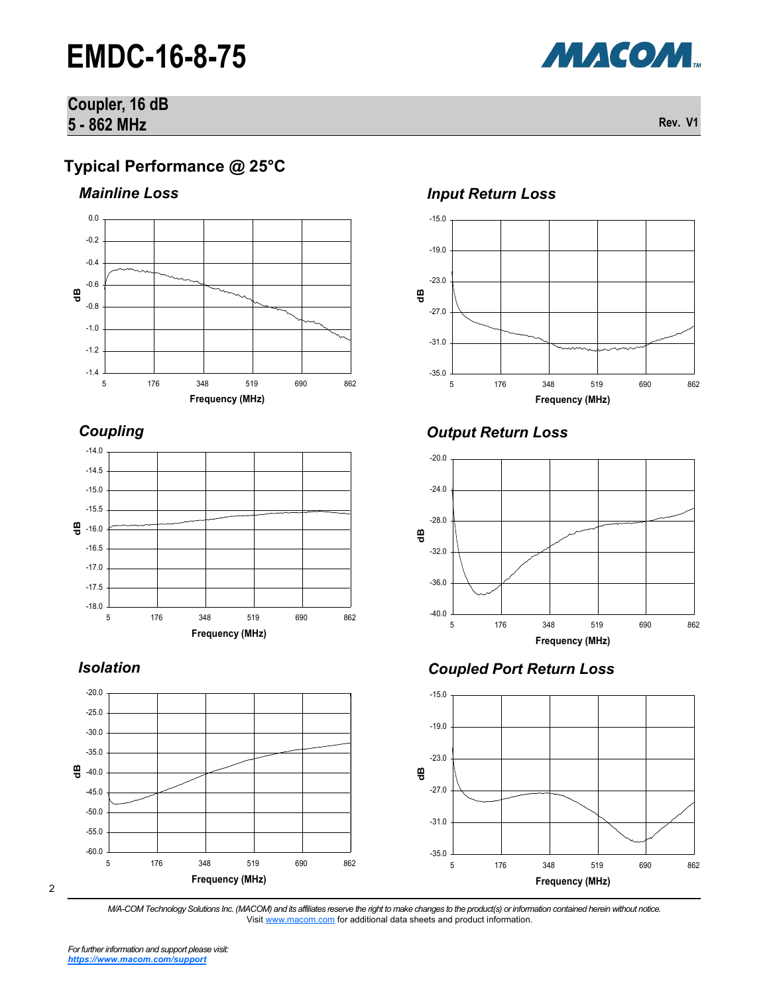#### **Coupler, 16 dB 5 - 862 MHz Rev. V1**

#### **Typical Performance @ 25°C**



*Coupling*



#### *Isolation*



#### 2





### *Output Return Loss*



#### *Coupled Port Return Loss*



*M/A-COM Technology Solutions Inc. (MACOM) and its affiliates reserve the right to make changes to the product(s) or information contained herein without notice.*  Visit [www.macom.com](http://www.macom.com/) for additional data sheets and product information.

МАСОМ.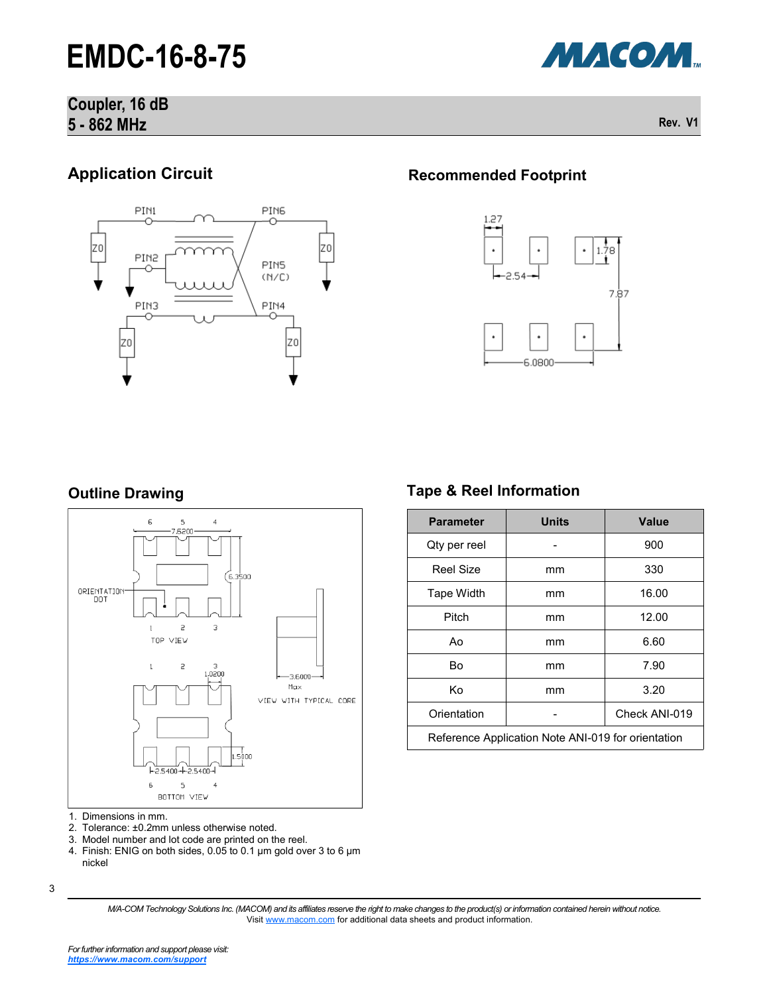#### **Coupler, 16 dB 5 - 862 MHz Rev. V1**

### **Application Circuit**



#### **Recommended Footprint**



#### **Outline Drawing**



- 1. Dimensions in mm.<br>2. Tolerance: ±0.2mm
- Tolerance: ±0.2mm unless otherwise noted.
- 3. Model number and lot code are printed on the reel.
- 4. Finish: ENIG on both sides, 0.05 to 0.1 µm gold over 3 to 6 µm nickel

### **Tape & Reel Information**

| <b>Parameter</b>                                   | <b>Units</b> | <b>Value</b>  |  |  |
|----------------------------------------------------|--------------|---------------|--|--|
| Qty per reel                                       |              | 900           |  |  |
| Reel Size                                          | mm           | 330           |  |  |
| Tape Width                                         | mm           | 16.00         |  |  |
| Pitch                                              | mm           | 12.00         |  |  |
| Ao                                                 | mm           | 6.60          |  |  |
| Bo                                                 | mm           | 7.90          |  |  |
| Κo                                                 | mm           | 3.20          |  |  |
| Orientation                                        |              | Check ANI-019 |  |  |
| Reference Application Note ANI-019 for orientation |              |               |  |  |

*M/A-COM Technology Solutions Inc. (MACOM) and its affiliates reserve the right to make changes to the product(s) or information contained herein without notice.*  Visit [www.macom.com](http://www.macom.com/) for additional data sheets and product information.



<sup>3</sup>